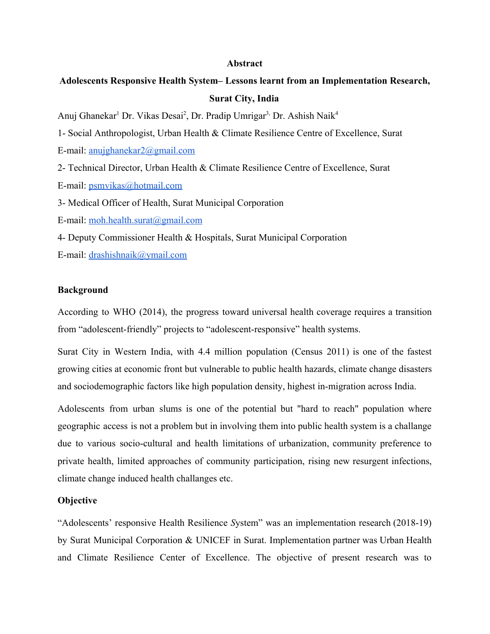#### **Abstract**

# **Adolescents Responsive Health System– Lessons learnt from an Implementation Research, Surat City, India**

Anuj Ghanekar<sup>1</sup> Dr. Vikas Desai<sup>2</sup>, Dr. Pradip Umrigar<sup>3,</sup> Dr. Ashish Naik<sup>4</sup>

1- Social Anthropologist, Urban Health & Climate Resilience Centre of Excellence, Surat

E-mail: [anujghanekar2@gmail.com](mailto:anujghanekar2@gmail.com)

2- Technical Director, Urban Health & Climate Resilience Centre of Excellence, Surat

E-mail: [psmvikas@hotmail.com](mailto:psmvikas@hotmail.com)

3- Medical Officer of Health, Surat Municipal Corporation

E-mail: [moh.health.surat@gmail.com](mailto:moh.health.surat@gmail.com)

4- Deputy Commissioner Health & Hospitals, Surat Municipal Corporation

E-mail: [drashishnaik@ymail.com](mailto:drashishnaik@ymail.com)

#### **Background**

According to WHO (2014), the progress toward universal health coverage requires a transition from "adolescent-friendly" projects to "adolescent-responsive" health systems.

Surat City in Western India, with 4.4 million population (Census 2011) is one of the fastest growing cities at economic front but vulnerable to public health hazards, climate change disasters and sociodemographic factors like high population density, highest in-migration across India.

Adolescents from urban slums is one of the potential but "hard to reach" population where geographic access is not a problem but in involving them into public health system is a challange due to various socio-cultural and health limitations of urbanization, community preference to private health, limited approaches of community participation, rising new resurgent infections, climate change induced health challanges etc.

### **Objective**

"Adolescents' responsive Health Resilience *S*ystem" was an implementation research (2018-19) by Surat Municipal Corporation & UNICEF in Surat. Implementation partner was Urban Health and Climate Resilience Center of Excellence. The objective of present research was to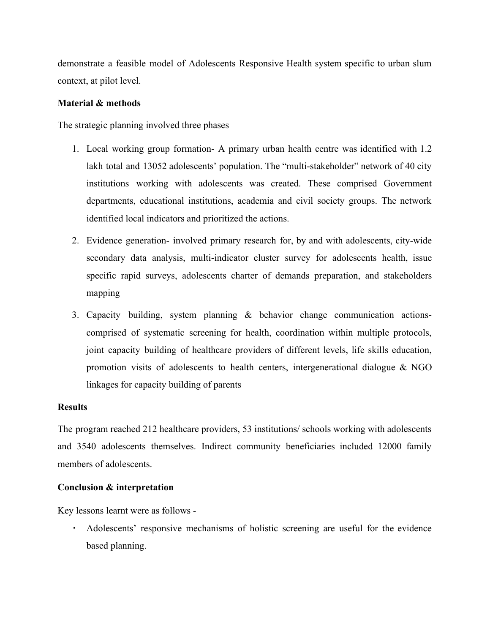demonstrate a feasible model of Adolescents Responsive Health system specific to urban slum context, at pilot level.

## **Material & methods**

The strategic planning involved three phases

- 1. Local working group formation- A primary urban health centre was identified with 1.2 lakh total and 13052 adolescents' population. The "multi-stakeholder" network of 40 city institutions working with adolescents was created. These comprised Government departments, educational institutions, academia and civil society groups. The network identified local indicators and prioritized the actions.
- 2. Evidence generation- involved primary research for, by and with adolescents, city-wide secondary data analysis, multi-indicator cluster survey for adolescents health, issue specific rapid surveys, adolescents charter of demands preparation, and stakeholders mapping
- 3. Capacity building, system planning & behavior change communication actionscomprised of systematic screening for health, coordination within multiple protocols, joint capacity building of healthcare providers of different levels, life skills education, promotion visits of adolescents to health centers, intergenerational dialogue  $\& \text{NGO}$ linkages for capacity building of parents

### **Results**

The program reached 212 healthcare providers, 53 institutions/ schools working with adolescents and 3540 adolescents themselves. Indirect community beneficiaries included 12000 family members of adolescents.

# **Conclusion & interpretation**

Key lessons learnt were as follows -

▪ Adolescents' responsive mechanisms of holistic screening are useful for the evidence based planning.